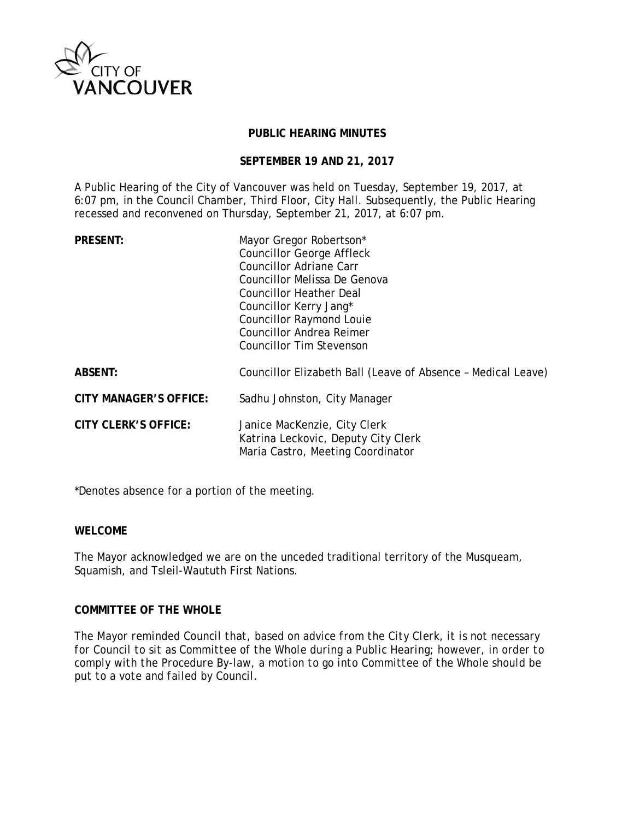

## **PUBLIC HEARING MINUTES**

#### **SEPTEMBER 19 AND 21, 2017**

A Public Hearing of the City of Vancouver was held on Tuesday, September 19, 2017, at 6:07 pm, in the Council Chamber, Third Floor, City Hall. Subsequently, the Public Hearing recessed and reconvened on Thursday, September 21, 2017, at 6:07 pm.

| <b>PRESENT:</b>               | Mayor Gregor Robertson*<br><b>Councillor George Affleck</b><br>Councillor Adriane Carr<br>Councillor Melissa De Genova<br>Councillor Heather Deal<br>Councillor Kerry Jang*<br><b>Councillor Raymond Louie</b><br><b>Councillor Andrea Reimer</b><br><b>Councillor Tim Stevenson</b> |
|-------------------------------|--------------------------------------------------------------------------------------------------------------------------------------------------------------------------------------------------------------------------------------------------------------------------------------|
| <b>ABSENT:</b>                | Councillor Elizabeth Ball (Leave of Absence - Medical Leave)                                                                                                                                                                                                                         |
| <b>CITY MANAGER'S OFFICE:</b> | Sadhu Johnston, City Manager                                                                                                                                                                                                                                                         |
| <b>CITY CLERK'S OFFICE:</b>   | Janice MacKenzie, City Clerk<br>Katrina Leckovic, Deputy City Clerk<br>Maria Castro, Meeting Coordinator                                                                                                                                                                             |

\*Denotes absence for a portion of the meeting.

## **WELCOME**

The Mayor acknowledged we are on the unceded traditional territory of the Musqueam, Squamish, and Tsleil-Waututh First Nations.

## **COMMITTEE OF THE WHOLE**

*The Mayor reminded Council that, based on advice from the City Clerk, it is not necessary for Council to sit as Committee of the Whole during a Public Hearing; however, in order to comply with the Procedure By-law, a motion to go into Committee of the Whole should be put to a vote and failed by Council.*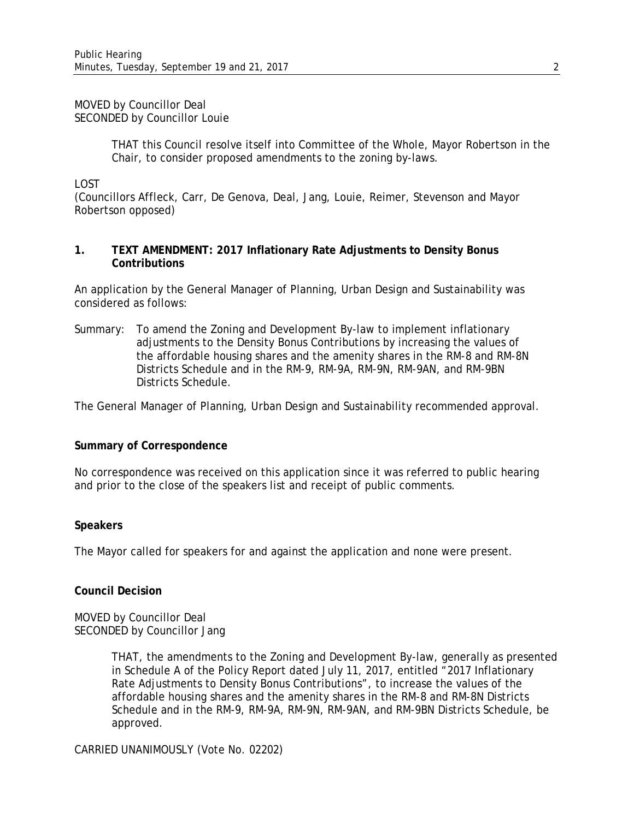#### MOVED by Councillor Deal SECONDED by Councillor Louie

THAT this Council resolve itself into Committee of the Whole, Mayor Robertson in the Chair, to consider proposed amendments to the zoning by-laws.

LOST

(Councillors Affleck, Carr, De Genova, Deal, Jang, Louie, Reimer, Stevenson and Mayor Robertson opposed)

## **1. TEXT AMENDMENT: 2017 Inflationary Rate Adjustments to Density Bonus Contributions**

An application by the General Manager of Planning, Urban Design and Sustainability was considered as follows:

Summary: To amend the Zoning and Development By-law to implement inflationary adjustments to the Density Bonus Contributions by increasing the values of the affordable housing shares and the amenity shares in the RM-8 and RM-8N Districts Schedule and in the RM-9, RM-9A, RM-9N, RM-9AN, and RM-9BN Districts Schedule.

The General Manager of Planning, Urban Design and Sustainability recommended approval.

#### **Summary of Correspondence**

No correspondence was received on this application since it was referred to public hearing and prior to the close of the speakers list and receipt of public comments.

#### **Speakers**

The Mayor called for speakers for and against the application and none were present.

#### **Council Decision**

MOVED by Councillor Deal SECONDED by Councillor Jang

> THAT, the amendments to the Zoning and Development By-law, generally as presented in Schedule A of the Policy Report dated July 11, 2017, entitled "2017 Inflationary Rate Adjustments to Density Bonus Contributions", to increase the values of the affordable housing shares and the amenity shares in the RM-8 and RM-8N Districts Schedule and in the RM-9, RM-9A, RM-9N, RM-9AN, and RM-9BN Districts Schedule, be approved.

CARRIED UNANIMOUSLY (Vote No. 02202)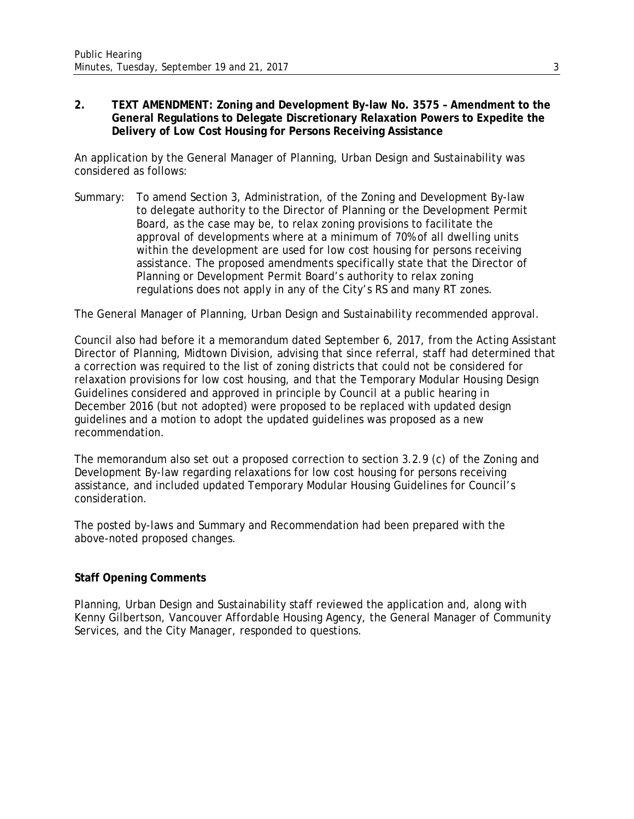## **2. TEXT AMENDMENT: Zoning and Development By-law No. 3575 – Amendment to the General Regulations to Delegate Discretionary Relaxation Powers to Expedite the Delivery of Low Cost Housing for Persons Receiving Assistance**

An application by the General Manager of Planning, Urban Design and Sustainability was considered as follows:

Summary: To amend Section 3, Administration, of the Zoning and Development By-law to delegate authority to the Director of Planning or the Development Permit Board, as the case may be, to relax zoning provisions to facilitate the approval of developments where at a minimum of 70% of all dwelling units within the development are used for low cost housing for persons receiving assistance. The proposed amendments specifically state that the Director of Planning or Development Permit Board's authority to relax zoning regulations does not apply in any of the City's RS and many RT zones.

The General Manager of Planning, Urban Design and Sustainability recommended approval.

Council also had before it a memorandum dated September 6, 2017, from the Acting Assistant Director of Planning, Midtown Division, advising that since referral, staff had determined that a correction was required to the list of zoning districts that could not be considered for relaxation provisions for low cost housing, and that the Temporary Modular Housing Design Guidelines considered and approved in principle by Council at a public hearing in December 2016 (but not adopted) were proposed to be replaced with updated design guidelines and a motion to adopt the updated guidelines was proposed as a new recommendation.

The memorandum also set out a proposed correction to section 3.2.9 (c) of the Zoning and Development By-law regarding relaxations for low cost housing for persons receiving assistance, and included updated Temporary Modular Housing Guidelines for Council's consideration.

The posted by-laws and Summary and Recommendation had been prepared with the above-noted proposed changes.

# **Staff Opening Comments**

Planning, Urban Design and Sustainability staff reviewed the application and, along with Kenny Gilbertson, Vancouver Affordable Housing Agency, the General Manager of Community Services, and the City Manager, responded to questions.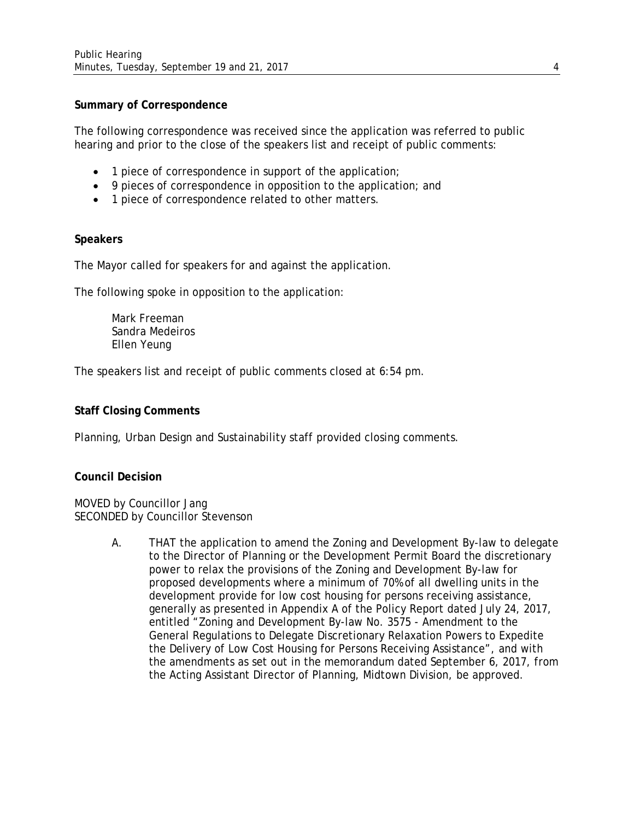## **Summary of Correspondence**

The following correspondence was received since the application was referred to public hearing and prior to the close of the speakers list and receipt of public comments:

- 1 piece of correspondence in support of the application;
- 9 pieces of correspondence in opposition to the application; and
- 1 piece of correspondence related to other matters.

## **Speakers**

The Mayor called for speakers for and against the application.

The following spoke in opposition to the application:

Mark Freeman Sandra Medeiros Ellen Yeung

The speakers list and receipt of public comments closed at 6:54 pm.

## **Staff Closing Comments**

Planning, Urban Design and Sustainability staff provided closing comments.

#### **Council Decision**

MOVED by Councillor Jang SECONDED by Councillor Stevenson

> A. THAT the application to amend the Zoning and Development By-law to delegate to the Director of Planning or the Development Permit Board the discretionary power to relax the provisions of the Zoning and Development By-law for proposed developments where a minimum of 70% of all dwelling units in the development provide for low cost housing for persons receiving assistance, generally as presented in Appendix A of the Policy Report dated July 24, 2017, entitled "Zoning and Development By-law No. 3575 - Amendment to the General Regulations to Delegate Discretionary Relaxation Powers to Expedite the Delivery of Low Cost Housing for Persons Receiving Assistance", and with the amendments as set out in the memorandum dated September 6, 2017, from the Acting Assistant Director of Planning, Midtown Division, be approved.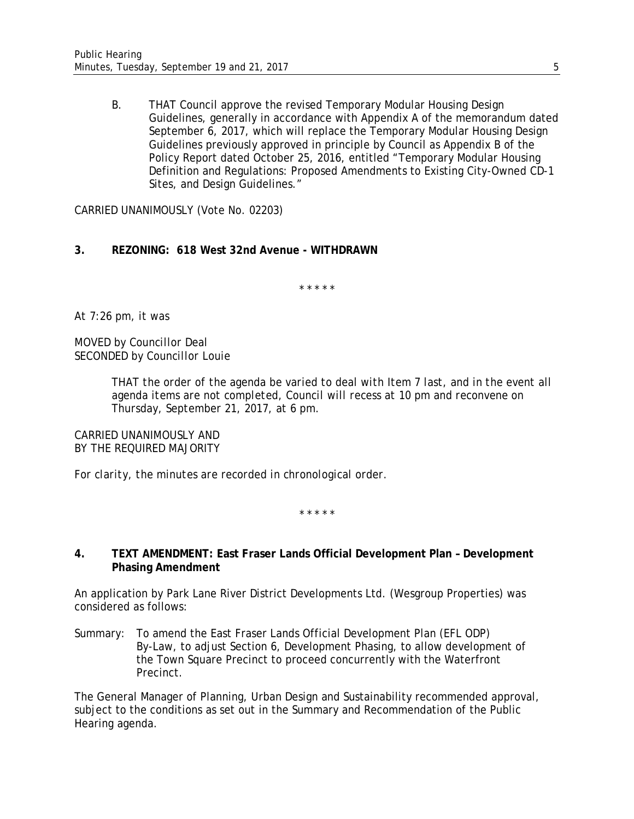B. THAT Council approve the revised Temporary Modular Housing Design Guidelines, generally in accordance with Appendix A of the memorandum dated September 6, 2017, which will replace the Temporary Modular Housing Design Guidelines previously approved in principle by Council as Appendix B of the Policy Report dated October 25, 2016, entitled "Temporary Modular Housing Definition and Regulations: Proposed Amendments to Existing City-Owned CD-1 Sites, and Design Guidelines."

CARRIED UNANIMOUSLY (Vote No. 02203)

# **3. REZONING: 618 West 32nd Avenue - WITHDRAWN**

*\* \* \* \* \**

*At 7:26 pm, it was*

*MOVED by Councillor Deal SECONDED by Councillor Louie*

> *THAT the order of the agenda be varied to deal with Item 7 last, and in the event all agenda items are not completed, Council will recess at 10 pm and reconvene on Thursday, September 21, 2017, at 6 pm.*

*CARRIED UNANIMOUSLY AND BY THE REQUIRED MAJORITY*

*For clarity, the minutes are recorded in chronological order.*

*\* \* \* \* \**

## **4. TEXT AMENDMENT: East Fraser Lands Official Development Plan – Development Phasing Amendment**

An application by Park Lane River District Developments Ltd. (Wesgroup Properties) was considered as follows:

Summary: To amend the East Fraser Lands Official Development Plan (EFL ODP) By-Law, to adjust Section 6, Development Phasing, to allow development of the Town Square Precinct to proceed concurrently with the Waterfront Precinct.

The General Manager of Planning, Urban Design and Sustainability recommended approval, subject to the conditions as set out in the Summary and Recommendation of the Public Hearing agenda.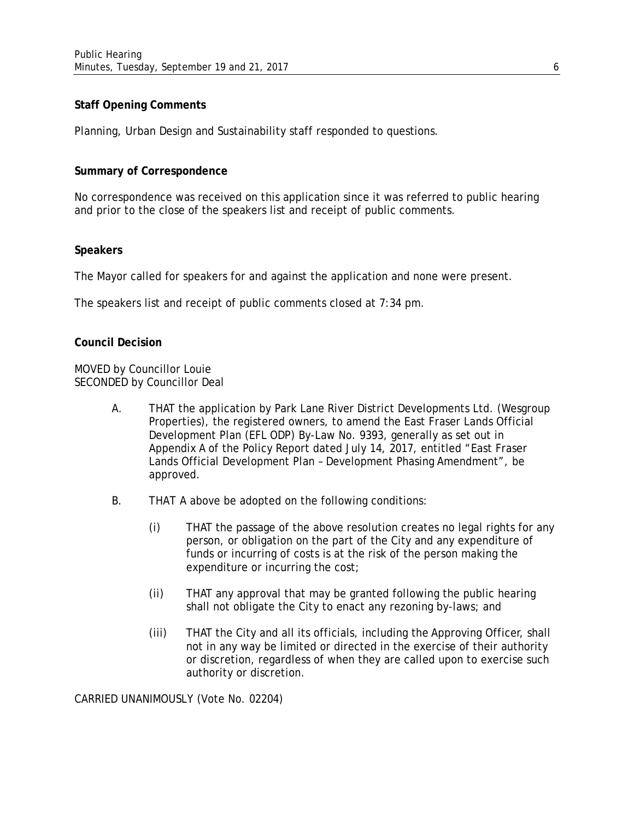# **Staff Opening Comments**

Planning, Urban Design and Sustainability staff responded to questions.

## **Summary of Correspondence**

No correspondence was received on this application since it was referred to public hearing and prior to the close of the speakers list and receipt of public comments.

## **Speakers**

The Mayor called for speakers for and against the application and none were present.

The speakers list and receipt of public comments closed at 7:34 pm.

## **Council Decision**

MOVED by Councillor Louie SECONDED by Councillor Deal

- A. THAT the application by Park Lane River District Developments Ltd. (Wesgroup Properties), the registered owners, to amend the East Fraser Lands Official Development Plan (EFL ODP) By-Law No. 9393, generally as set out in Appendix A of the Policy Report dated July 14, 2017, entitled "East Fraser Lands Official Development Plan – Development Phasing Amendment", be approved.
- B. THAT A above be adopted on the following conditions:
	- (i) THAT the passage of the above resolution creates no legal rights for any person, or obligation on the part of the City and any expenditure of funds or incurring of costs is at the risk of the person making the expenditure or incurring the cost;
	- (ii) THAT any approval that may be granted following the public hearing shall not obligate the City to enact any rezoning by-laws; and
	- (iii) THAT the City and all its officials, including the Approving Officer, shall not in any way be limited or directed in the exercise of their authority or discretion, regardless of when they are called upon to exercise such authority or discretion.

CARRIED UNANIMOUSLY (Vote No. 02204)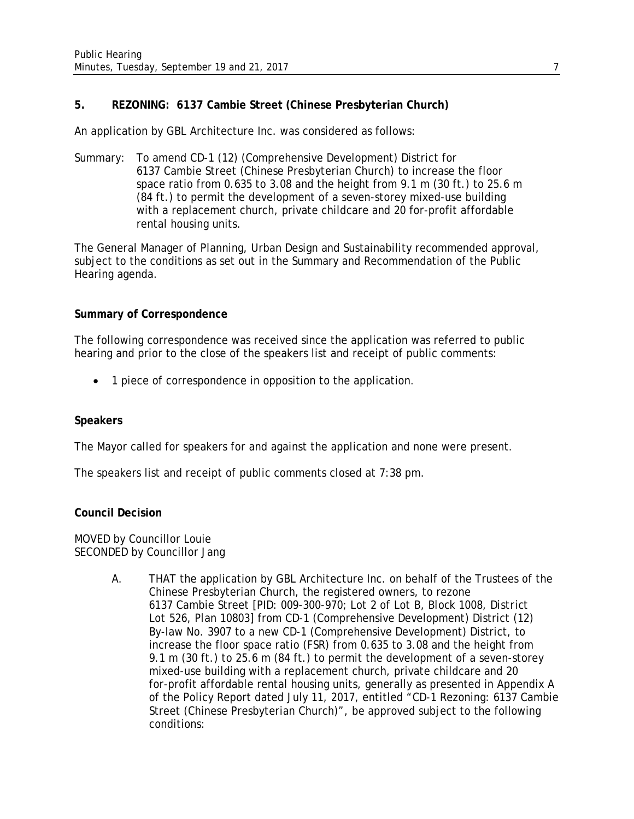# **5. REZONING: 6137 Cambie Street (Chinese Presbyterian Church)**

An application by GBL Architecture Inc. was considered as follows:

Summary: To amend CD-1 (12) (Comprehensive Development) District for 6137 Cambie Street (Chinese Presbyterian Church) to increase the floor space ratio from 0.635 to 3.08 and the height from 9.1 m (30 ft.) to 25.6 m (84 ft.) to permit the development of a seven-storey mixed-use building with a replacement church, private childcare and 20 for-profit affordable rental housing units.

The General Manager of Planning, Urban Design and Sustainability recommended approval, subject to the conditions as set out in the Summary and Recommendation of the Public Hearing agenda.

## **Summary of Correspondence**

The following correspondence was received since the application was referred to public hearing and prior to the close of the speakers list and receipt of public comments:

• 1 piece of correspondence in opposition to the application.

# **Speakers**

The Mayor called for speakers for and against the application and none were present.

The speakers list and receipt of public comments closed at 7:38 pm.

## **Council Decision**

MOVED by Councillor Louie SECONDED by Councillor Jang

> A. THAT the application by GBL Architecture Inc. on behalf of the Trustees of the Chinese Presbyterian Church, the registered owners, to rezone 6137 Cambie Street [*PID: 009-300-970; Lot 2 of Lot B, Block 1008, District Lot 526, Plan 10803*] from CD-1 (Comprehensive Development) District (12) By-law No. 3907 to a new CD-1 (Comprehensive Development) District, to increase the floor space ratio (FSR) from 0.635 to 3.08 and the height from 9.1 m (30 ft.) to 25.6 m (84 ft.) to permit the development of a seven-storey mixed-use building with a replacement church, private childcare and 20 for-profit affordable rental housing units, generally as presented in Appendix A of the Policy Report dated July 11, 2017, entitled "CD-1 Rezoning: 6137 Cambie Street (Chinese Presbyterian Church)", be approved subject to the following conditions: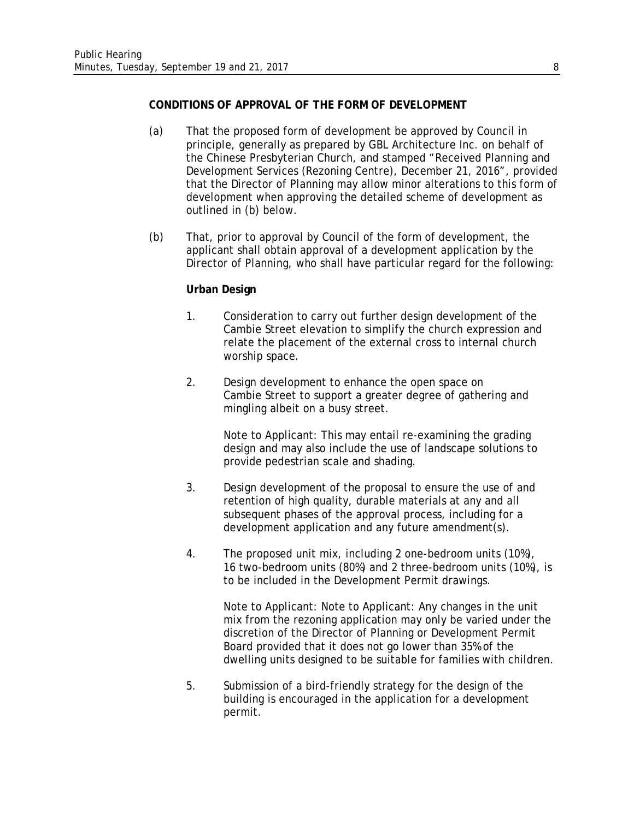## **CONDITIONS OF APPROVAL OF THE FORM OF DEVELOPMENT**

- (a) That the proposed form of development be approved by Council in principle, generally as prepared by GBL Architecture Inc. on behalf of the Chinese Presbyterian Church, and stamped "Received Planning and Development Services (Rezoning Centre), December 21, 2016", provided that the Director of Planning may allow minor alterations to this form of development when approving the detailed scheme of development as outlined in (b) below.
- (b) That, prior to approval by Council of the form of development, the applicant shall obtain approval of a development application by the Director of Planning, who shall have particular regard for the following:

## **Urban Design**

- 1. Consideration to carry out further design development of the Cambie Street elevation to simplify the church expression and relate the placement of the external cross to internal church worship space.
- 2. Design development to enhance the open space on Cambie Street to support a greater degree of gathering and mingling albeit on a busy street.

Note to Applicant: This may entail re-examining the grading design and may also include the use of landscape solutions to provide pedestrian scale and shading.

- 3. Design development of the proposal to ensure the use of and retention of high quality, durable materials at any and all subsequent phases of the approval process, including for a development application and any future amendment(s).
- 4. The proposed unit mix, including 2 one-bedroom units (10%), 16 two-bedroom units (80%) and 2 three-bedroom units (10%), is to be included in the Development Permit drawings.

Note to Applicant: Note to Applicant: Any changes in the unit mix from the rezoning application may only be varied under the discretion of the Director of Planning or Development Permit Board provided that it does not go lower than 35% of the dwelling units designed to be suitable for families with children.

5. Submission of a bird-friendly strategy for the design of the building is encouraged in the application for a development permit.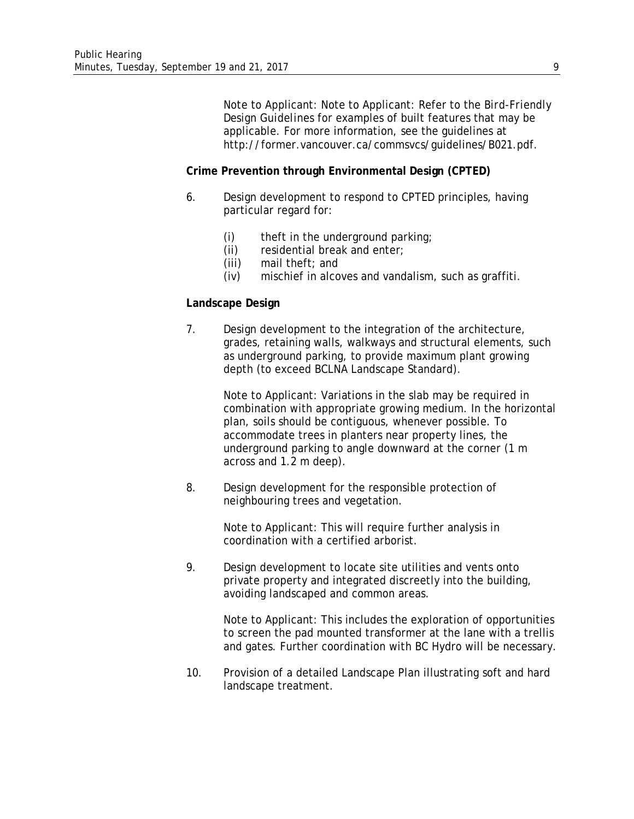Note to Applicant: Note to Applicant: Refer to the *Bird-Friendly Design Guidelines* for examples of built features that may be applicable. For more information, see the guidelines at http://former.vancouver.ca/commsvcs/guidelines/B021.pdf.

#### **Crime Prevention through Environmental Design (CPTED)**

- 6. Design development to respond to CPTED principles, having particular regard for:
	- (i) theft in the underground parking;
	- (ii) residential break and enter;
	- (iii) mail theft; and
	- (iv) mischief in alcoves and vandalism, such as graffiti.

#### **Landscape Design**

7. Design development to the integration of the architecture, grades, retaining walls, walkways and structural elements, such as underground parking, to provide maximum plant growing depth (to exceed BCLNA Landscape Standard).

> Note to Applicant: Variations in the slab may be required in combination with appropriate growing medium. In the horizontal plan, soils should be contiguous, whenever possible. To accommodate trees in planters near property lines, the underground parking to angle downward at the corner (1 m across and 1.2 m deep).

8. Design development for the responsible protection of neighbouring trees and vegetation.

> Note to Applicant: This will require further analysis in coordination with a certified arborist.

9. Design development to locate site utilities and vents onto private property and integrated discreetly into the building, avoiding landscaped and common areas.

> Note to Applicant: This includes the exploration of opportunities to screen the pad mounted transformer at the lane with a trellis and gates. Further coordination with BC Hydro will be necessary.

10. Provision of a detailed Landscape Plan illustrating soft and hard landscape treatment.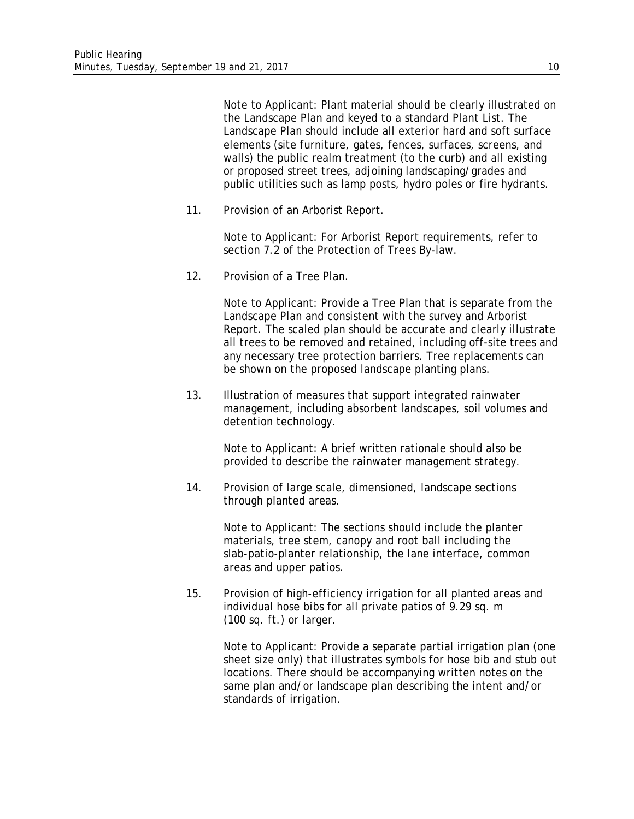Note to Applicant: Plant material should be clearly illustrated on the Landscape Plan and keyed to a standard Plant List. The Landscape Plan should include all exterior hard and soft surface elements (site furniture, gates, fences, surfaces, screens, and walls) the public realm treatment (to the curb) and all existing or proposed street trees, adjoining landscaping/grades and public utilities such as lamp posts, hydro poles or fire hydrants.

11. Provision of an Arborist Report.

Note to Applicant: For Arborist Report requirements, refer to section 7.2 of the Protection of Trees By-law.

12. Provision of a Tree Plan.

Note to Applicant: Provide a Tree Plan that is separate from the Landscape Plan and consistent with the survey and Arborist Report. The scaled plan should be accurate and clearly illustrate all trees to be removed and retained, including off-site trees and any necessary tree protection barriers. Tree replacements can be shown on the proposed landscape planting plans.

13. Illustration of measures that support integrated rainwater management, including absorbent landscapes, soil volumes and detention technology.

> Note to Applicant: A brief written rationale should also be provided to describe the rainwater management strategy.

14. Provision of large scale, dimensioned, landscape sections through planted areas.

> Note to Applicant: The sections should include the planter materials, tree stem, canopy and root ball including the slab-patio-planter relationship, the lane interface, common areas and upper patios.

15. Provision of high-efficiency irrigation for all planted areas and individual hose bibs for all private patios of 9.29 sq. m (100 sq. ft.) or larger.

> Note to Applicant: Provide a separate partial irrigation plan (one sheet size only) that illustrates symbols for hose bib and stub out locations. There should be accompanying written notes on the same plan and/or landscape plan describing the intent and/or standards of irrigation.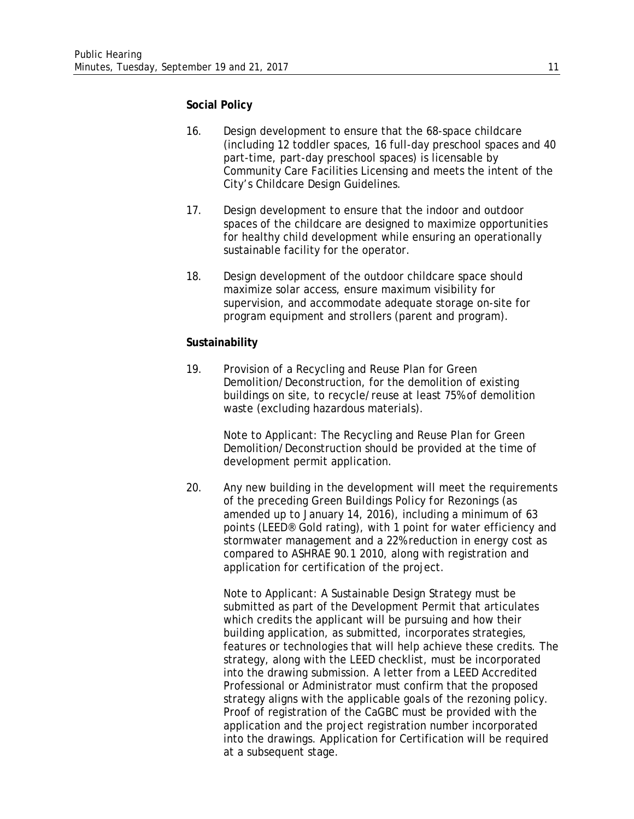#### **Social Policy**

- 16. Design development to ensure that the 68-space childcare (including 12 toddler spaces, 16 full-day preschool spaces and 40 part-time, part-day preschool spaces) is licensable by Community Care Facilities Licensing and meets the intent of the City's Childcare Design Guidelines.
- 17. Design development to ensure that the indoor and outdoor spaces of the childcare are designed to maximize opportunities for healthy child development while ensuring an operationally sustainable facility for the operator.
- 18. Design development of the outdoor childcare space should maximize solar access, ensure maximum visibility for supervision, and accommodate adequate storage on-site for program equipment and strollers (parent and program).

### **Sustainability**

19. Provision of a Recycling and Reuse Plan for Green Demolition/Deconstruction, for the demolition of existing buildings on site, to recycle/reuse at least 75% of demolition waste (excluding hazardous materials).

> Note to Applicant: The Recycling and Reuse Plan for Green Demolition/Deconstruction should be provided at the time of development permit application.

20. Any new building in the development will meet the requirements of the preceding *Green Buildings Policy for Rezonings* (as amended up to January 14, 2016), including a minimum of 63 points (LEED® Gold rating), with 1 point for water efficiency and stormwater management and a 22% reduction in energy cost as compared to ASHRAE 90.1 2010, along with registration and application for certification of the project.

Note to Applicant: A Sustainable Design Strategy must be submitted as part of the Development Permit that articulates which credits the applicant will be pursuing and how their building application, as submitted, incorporates strategies, features or technologies that will help achieve these credits. The strategy, along with the LEED checklist, must be incorporated into the drawing submission. A letter from a LEED Accredited Professional or Administrator must confirm that the proposed strategy aligns with the applicable goals of the rezoning policy. Proof of registration of the CaGBC must be provided with the application and the project registration number incorporated into the drawings. Application for Certification will be required at a subsequent stage.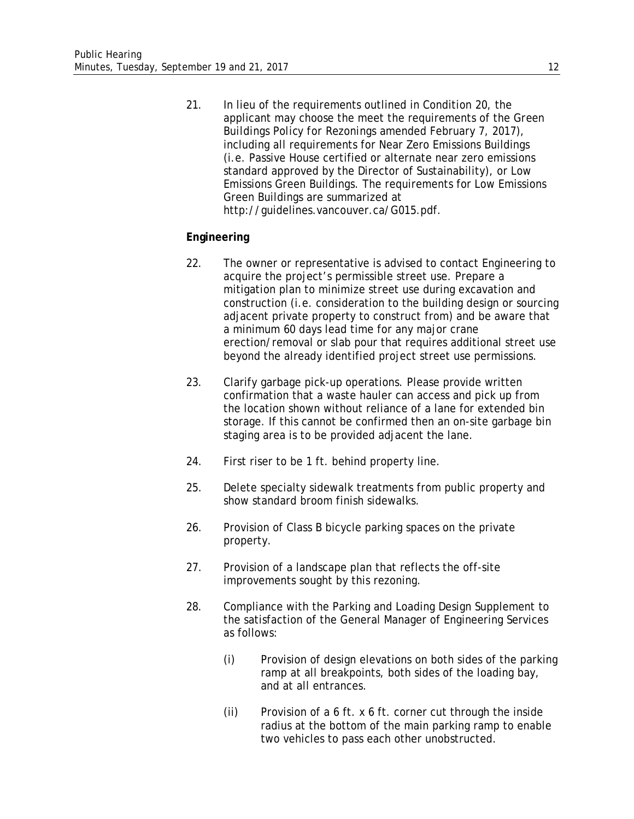21. In lieu of the requirements outlined in Condition 20, the applicant may choose the meet the requirements of the *Green Buildings Policy for Rezonings* amended February 7, 2017), including all requirements for Near Zero Emissions Buildings (i.e. Passive House certified or alternate near zero emissions standard approved by the Director of Sustainability), or Low Emissions Green Buildings. The requirements for Low Emissions Green Buildings are summarized at http://guidelines.vancouver.ca/G015.pdf.

## **Engineering**

- 22. The owner or representative is advised to contact Engineering to acquire the project's permissible street use. Prepare a mitigation plan to minimize street use during excavation and construction (i.e. consideration to the building design or sourcing adjacent private property to construct from) and be aware that a minimum 60 days lead time for any major crane erection/removal or slab pour that requires additional street use beyond the already identified project street use permissions.
- 23. Clarify garbage pick-up operations. Please provide written confirmation that a waste hauler can access and pick up from the location shown without reliance of a lane for extended bin storage. If this cannot be confirmed then an on-site garbage bin staging area is to be provided adjacent the lane.
- 24. First riser to be 1 ft. behind property line.
- 25. Delete specialty sidewalk treatments from public property and show standard broom finish sidewalks.
- 26. Provision of Class B bicycle parking spaces on the private property.
- 27. Provision of a landscape plan that reflects the off-site improvements sought by this rezoning.
- 28. Compliance with the Parking and Loading Design Supplement to the satisfaction of the General Manager of Engineering Services as follows:
	- (i) Provision of design elevations on both sides of the parking ramp at all breakpoints, both sides of the loading bay, and at all entrances.
	- (ii) Provision of a  $6$  ft. x  $6$  ft. corner cut through the inside radius at the bottom of the main parking ramp to enable two vehicles to pass each other unobstructed.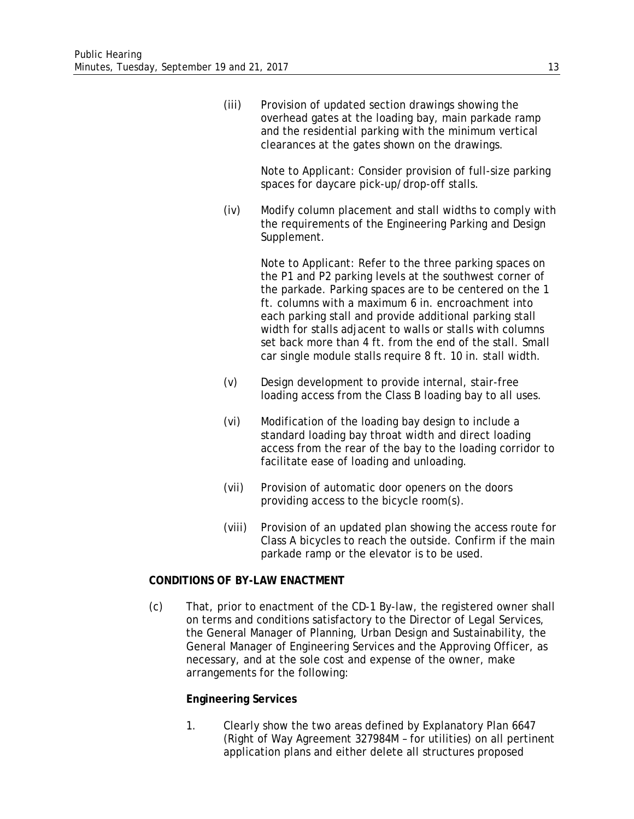(iii) Provision of updated section drawings showing the overhead gates at the loading bay, main parkade ramp and the residential parking with the minimum vertical clearances at the gates shown on the drawings.

> Note to Applicant: Consider provision of full-size parking spaces for daycare pick-up/drop-off stalls.

(iv) Modify column placement and stall widths to comply with the requirements of the Engineering Parking and Design Supplement.

> Note to Applicant: Refer to the three parking spaces on the P1 and P2 parking levels at the southwest corner of the parkade. Parking spaces are to be centered on the 1 ft. columns with a maximum 6 in. encroachment into each parking stall and provide additional parking stall width for stalls adjacent to walls or stalls with columns set back more than 4 ft. from the end of the stall. Small car single module stalls require 8 ft. 10 in. stall width.

- (v) Design development to provide internal, stair-free loading access from the Class B loading bay to all uses.
- (vi) Modification of the loading bay design to include a standard loading bay throat width and direct loading access from the rear of the bay to the loading corridor to facilitate ease of loading and unloading.
- (vii) Provision of automatic door openers on the doors providing access to the bicycle room(s).
- (viii) Provision of an updated plan showing the access route for Class A bicycles to reach the outside. Confirm if the main parkade ramp or the elevator is to be used.

# **CONDITIONS OF BY-LAW ENACTMENT**

(c) That, prior to enactment of the CD-1 By-law, the registered owner shall on terms and conditions satisfactory to the Director of Legal Services, the General Manager of Planning, Urban Design and Sustainability, the General Manager of Engineering Services and the Approving Officer, as necessary, and at the sole cost and expense of the owner, make arrangements for the following:

#### **Engineering Services**

1. Clearly show the two areas defined by Explanatory Plan 6647 (Right of Way Agreement 327984M – for utilities) on all pertinent application plans and either delete all structures proposed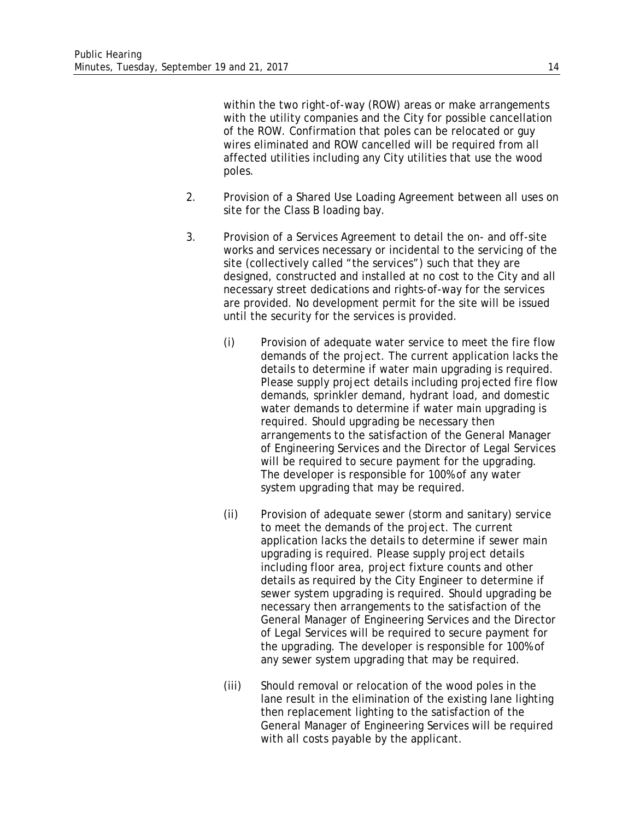within the two right-of-way (ROW) areas or make arrangements with the utility companies and the City for possible cancellation of the ROW. Confirmation that poles can be relocated or guy wires eliminated and ROW cancelled will be required from all affected utilities including any City utilities that use the wood poles.

- 2. Provision of a Shared Use Loading Agreement between all uses on site for the Class B loading bay.
- 3. Provision of a Services Agreement to detail the on- and off-site works and services necessary or incidental to the servicing of the site (collectively called "the services") such that they are designed, constructed and installed at no cost to the City and all necessary street dedications and rights-of-way for the services are provided. No development permit for the site will be issued until the security for the services is provided.
	- (i) Provision of adequate water service to meet the fire flow demands of the project. The current application lacks the details to determine if water main upgrading is required. Please supply project details including projected fire flow demands, sprinkler demand, hydrant load, and domestic water demands to determine if water main upgrading is required. Should upgrading be necessary then arrangements to the satisfaction of the General Manager of Engineering Services and the Director of Legal Services will be required to secure payment for the upgrading. The developer is responsible for 100% of any water system upgrading that may be required.
	- (ii) Provision of adequate sewer (storm and sanitary) service to meet the demands of the project. The current application lacks the details to determine if sewer main upgrading is required. Please supply project details including floor area, project fixture counts and other details as required by the City Engineer to determine if sewer system upgrading is required. Should upgrading be necessary then arrangements to the satisfaction of the General Manager of Engineering Services and the Director of Legal Services will be required to secure payment for the upgrading. The developer is responsible for 100% of any sewer system upgrading that may be required.
	- (iii) Should removal or relocation of the wood poles in the lane result in the elimination of the existing lane lighting then replacement lighting to the satisfaction of the General Manager of Engineering Services will be required with all costs payable by the applicant.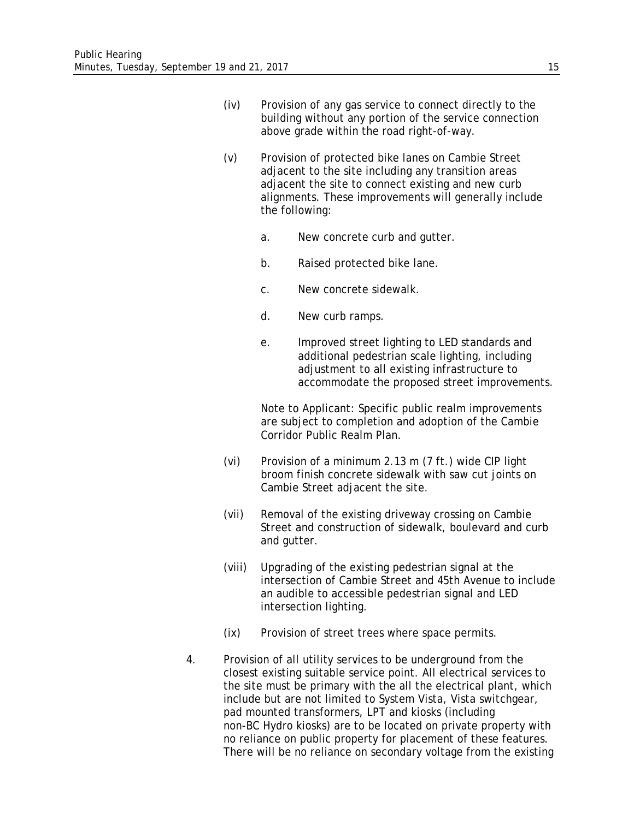- (iv) Provision of any gas service to connect directly to the building without any portion of the service connection above grade within the road right-of-way.
- (v) Provision of protected bike lanes on Cambie Street adjacent to the site including any transition areas adjacent the site to connect existing and new curb alignments. These improvements will generally include the following:
	- a. New concrete curb and gutter.
	- b. Raised protected bike lane.
	- c. New concrete sidewalk.
	- d. New curb ramps.
	- e. Improved street lighting to LED standards and additional pedestrian scale lighting, including adjustment to all existing infrastructure to accommodate the proposed street improvements.

Note to Applicant: Specific public realm improvements are subject to completion and adoption of the Cambie Corridor Public Realm Plan.

- (vi) Provision of a minimum 2.13 m (7 ft.) wide CIP light broom finish concrete sidewalk with saw cut joints on Cambie Street adjacent the site.
- (vii) Removal of the existing driveway crossing on Cambie Street and construction of sidewalk, boulevard and curb and gutter.
- (viii) Upgrading of the existing pedestrian signal at the intersection of Cambie Street and 45th Avenue to include an audible to accessible pedestrian signal and LED intersection lighting.
- (ix) Provision of street trees where space permits.
- 4. Provision of all utility services to be underground from the closest existing suitable service point. All electrical services to the site must be primary with the all the electrical plant, which include but are not limited to System Vista, Vista switchgear, pad mounted transformers, LPT and kiosks (including non-BC Hydro kiosks) are to be located on private property with no reliance on public property for placement of these features. There will be no reliance on secondary voltage from the existing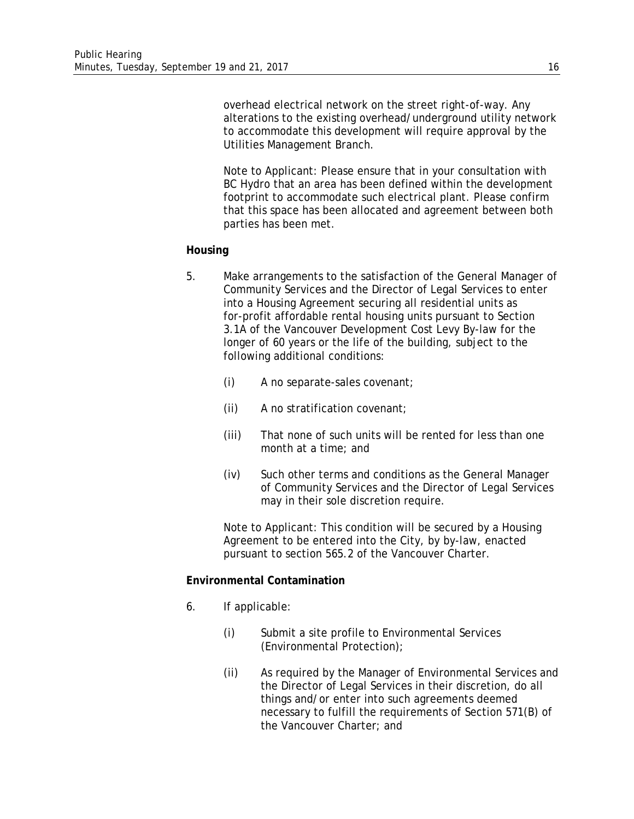overhead electrical network on the street right-of-way. Any alterations to the existing overhead/underground utility network to accommodate this development will require approval by the Utilities Management Branch.

Note to Applicant: Please ensure that in your consultation with BC Hydro that an area has been defined within the development footprint to accommodate such electrical plant. Please confirm that this space has been allocated and agreement between both parties has been met.

#### **Housing**

- 5. Make arrangements to the satisfaction of the General Manager of Community Services and the Director of Legal Services to enter into a Housing Agreement securing all residential units as for-profit affordable rental housing units pursuant to Section 3.1A of the Vancouver Development Cost Levy By-law for the longer of 60 years or the life of the building, subject to the following additional conditions:
	- (i) A no separate-sales covenant;
	- (ii) A no stratification covenant;
	- (iii) That none of such units will be rented for less than one month at a time; and
	- (iv) Such other terms and conditions as the General Manager of Community Services and the Director of Legal Services may in their sole discretion require.

Note to Applicant: This condition will be secured by a Housing Agreement to be entered into the City, by by-law, enacted pursuant to section 565.2 of the Vancouver Charter.

#### **Environmental Contamination**

- 6. If applicable:
	- (i) Submit a site profile to Environmental Services (Environmental Protection);
	- (ii) As required by the Manager of Environmental Services and the Director of Legal Services in their discretion, do all things and/or enter into such agreements deemed necessary to fulfill the requirements of Section 571(B) of the Vancouver Charter; and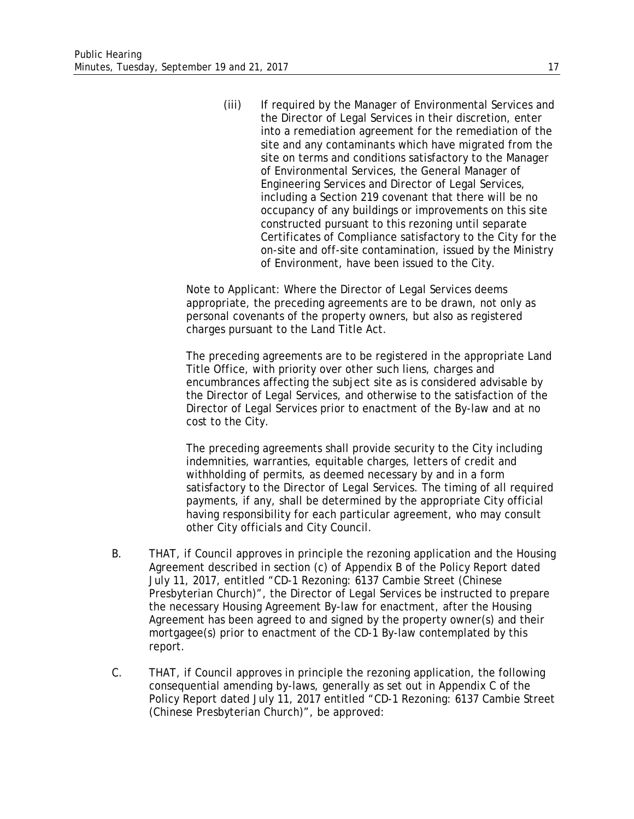(iii) If required by the Manager of Environmental Services and the Director of Legal Services in their discretion, enter into a remediation agreement for the remediation of the site and any contaminants which have migrated from the site on terms and conditions satisfactory to the Manager of Environmental Services, the General Manager of Engineering Services and Director of Legal Services, including a Section 219 covenant that there will be no occupancy of any buildings or improvements on this site constructed pursuant to this rezoning until separate Certificates of Compliance satisfactory to the City for the on-site and off-site contamination, issued by the Ministry of Environment, have been issued to the City.

Note to Applicant: Where the Director of Legal Services deems appropriate, the preceding agreements are to be drawn, not only as personal covenants of the property owners, but also as registered charges pursuant to the Land Title Act.

The preceding agreements are to be registered in the appropriate Land Title Office, with priority over other such liens, charges and encumbrances affecting the subject site as is considered advisable by the Director of Legal Services, and otherwise to the satisfaction of the Director of Legal Services prior to enactment of the By-law and at no cost to the City.

The preceding agreements shall provide security to the City including indemnities, warranties, equitable charges, letters of credit and withholding of permits, as deemed necessary by and in a form satisfactory to the Director of Legal Services. The timing of all required payments, if any, shall be determined by the appropriate City official having responsibility for each particular agreement, who may consult other City officials and City Council.

- B. THAT, if Council approves in principle the rezoning application and the Housing Agreement described in section (c) of Appendix B of the Policy Report dated July 11, 2017, entitled "CD-1 Rezoning: 6137 Cambie Street (Chinese Presbyterian Church)", the Director of Legal Services be instructed to prepare the necessary Housing Agreement By-law for enactment, after the Housing Agreement has been agreed to and signed by the property owner(s) and their mortgagee(s) prior to enactment of the CD-1 By-law contemplated by this report.
- C. THAT, if Council approves in principle the rezoning application, the following consequential amending by-laws, generally as set out in Appendix C of the Policy Report dated July 11, 2017 entitled "CD-1 Rezoning: 6137 Cambie Street (Chinese Presbyterian Church)", be approved: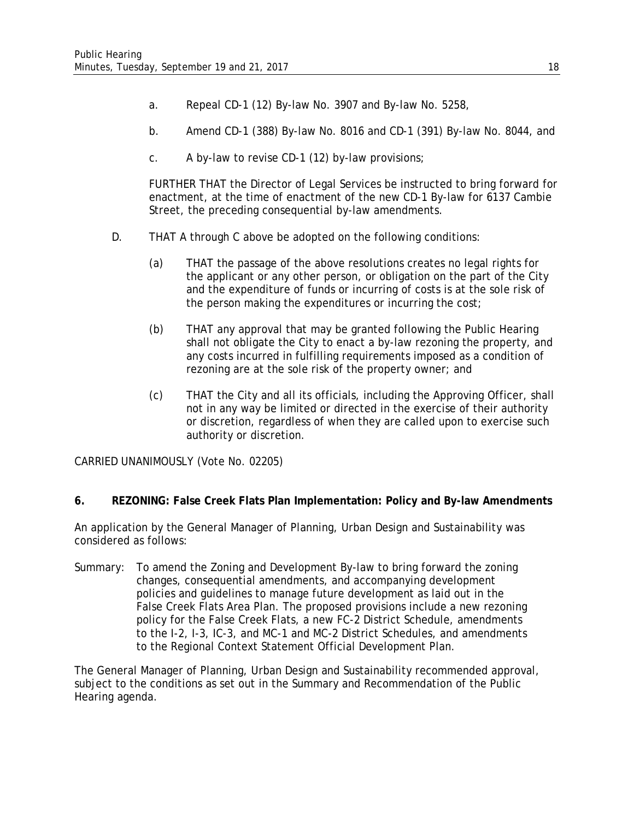- a. Repeal CD-1 (12) By-law No. 3907 and By-law No. 5258,
- b. Amend CD-1 (388) By-law No. 8016 and CD-1 (391) By-law No. 8044, and
- c. A by-law to revise CD-1 (12) by-law provisions;

FURTHER THAT the Director of Legal Services be instructed to bring forward for enactment, at the time of enactment of the new CD-1 By-law for 6137 Cambie Street, the preceding consequential by-law amendments.

- D. THAT A through C above be adopted on the following conditions:
	- (a) THAT the passage of the above resolutions creates no legal rights for the applicant or any other person, or obligation on the part of the City and the expenditure of funds or incurring of costs is at the sole risk of the person making the expenditures or incurring the cost;
	- (b) THAT any approval that may be granted following the Public Hearing shall not obligate the City to enact a by-law rezoning the property, and any costs incurred in fulfilling requirements imposed as a condition of rezoning are at the sole risk of the property owner; and
	- (c) THAT the City and all its officials, including the Approving Officer, shall not in any way be limited or directed in the exercise of their authority or discretion, regardless of when they are called upon to exercise such authority or discretion.

CARRIED UNANIMOUSLY (Vote No. 02205)

#### **6. REZONING: False Creek Flats Plan Implementation: Policy and By-law Amendments**

An application by the General Manager of Planning, Urban Design and Sustainability was considered as follows:

Summary: To amend the Zoning and Development By-law to bring forward the zoning changes, consequential amendments, and accompanying development policies and guidelines to manage future development as laid out in the False Creek Flats Area Plan. The proposed provisions include a new rezoning policy for the False Creek Flats, a new FC-2 District Schedule, amendments to the I-2, I-3, IC-3, and MC-1 and MC-2 District Schedules, and amendments to the Regional Context Statement Official Development Plan.

The General Manager of Planning, Urban Design and Sustainability recommended approval, subject to the conditions as set out in the Summary and Recommendation of the Public Hearing agenda.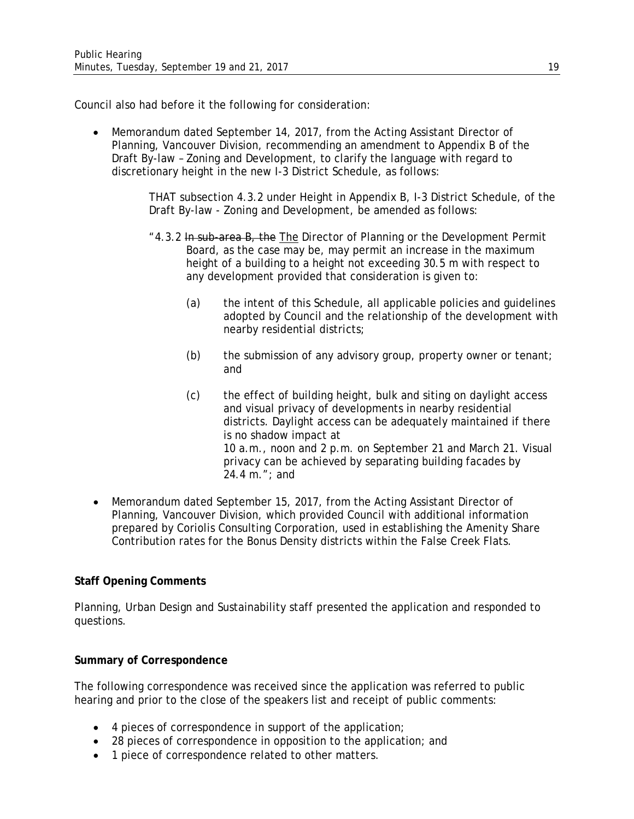Council also had before it the following for consideration:

• Memorandum dated September 14, 2017, from the Acting Assistant Director of Planning, Vancouver Division, recommending an amendment to Appendix B of the Draft By-law – Zoning and Development, to clarify the language with regard to discretionary height in the new I-3 District Schedule, as follows:

> THAT subsection 4.3.2 under Height in Appendix B, I-3 District Schedule, of the Draft By-law - Zoning and Development, be amended as follows:

- "4.3.2 In sub-area B, the The Director of Planning or the Development Permit Board, as the case may be, may permit an increase in the maximum height of a building to a height not exceeding 30.5 m with respect to any development provided that consideration is given to:
	- (a) the intent of this Schedule, all applicable policies and guidelines adopted by Council and the relationship of the development with nearby residential districts;
	- (b) the submission of any advisory group, property owner or tenant; and
	- (c) the effect of building height, bulk and siting on daylight access and visual privacy of developments in nearby residential districts. Daylight access can be adequately maintained if there is no shadow impact at 10 a.m., noon and 2 p.m. on September 21 and March 21. Visual privacy can be achieved by separating building facades by 24.4 m."; and
- Memorandum dated September 15, 2017, from the Acting Assistant Director of Planning, Vancouver Division, which provided Council with additional information prepared by Coriolis Consulting Corporation, used in establishing the Amenity Share Contribution rates for the Bonus Density districts within the False Creek Flats.

# **Staff Opening Comments**

Planning, Urban Design and Sustainability staff presented the application and responded to questions.

# **Summary of Correspondence**

The following correspondence was received since the application was referred to public hearing and prior to the close of the speakers list and receipt of public comments:

- 4 pieces of correspondence in support of the application;
- 28 pieces of correspondence in opposition to the application; and
- 1 piece of correspondence related to other matters.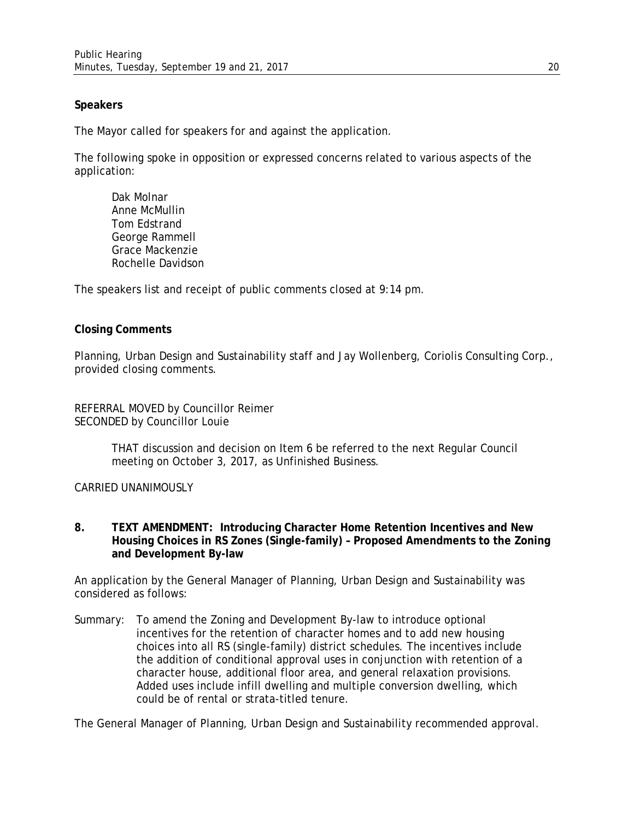# **Speakers**

The Mayor called for speakers for and against the application.

The following spoke in opposition or expressed concerns related to various aspects of the application:

Dak Molnar Anne McMullin Tom Edstrand George Rammell Grace Mackenzie Rochelle Davidson

The speakers list and receipt of public comments closed at 9:14 pm.

#### **Closing Comments**

Planning, Urban Design and Sustainability staff and Jay Wollenberg, Coriolis Consulting Corp., provided closing comments.

REFERRAL MOVED by Councillor Reimer SECONDED by Councillor Louie

> THAT discussion and decision on Item 6 be referred to the next Regular Council meeting on October 3, 2017, as Unfinished Business.

CARRIED UNANIMOUSLY

**8. TEXT AMENDMENT: Introducing Character Home Retention Incentives and New Housing Choices in RS Zones (Single-family) – Proposed Amendments to the Zoning and Development By-law**

An application by the General Manager of Planning, Urban Design and Sustainability was considered as follows:

Summary: To amend the Zoning and Development By-law to introduce optional incentives for the retention of character homes and to add new housing choices into all RS (single-family) district schedules. The incentives include the addition of conditional approval uses in conjunction with retention of a character house, additional floor area, and general relaxation provisions. Added uses include infill dwelling and multiple conversion dwelling, which could be of rental or strata-titled tenure.

The General Manager of Planning, Urban Design and Sustainability recommended approval.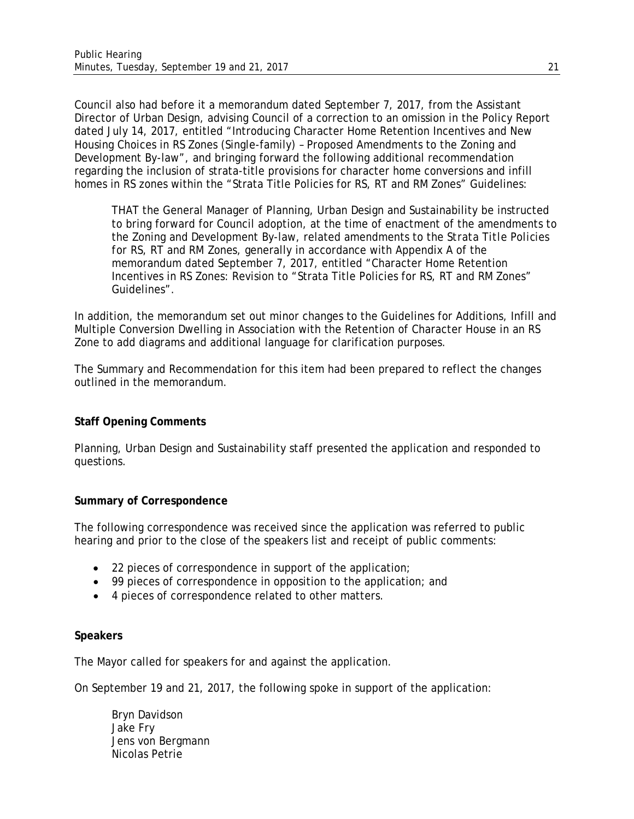Council also had before it a memorandum dated September 7, 2017, from the Assistant Director of Urban Design, advising Council of a correction to an omission in the Policy Report dated July 14, 2017, entitled "Introducing Character Home Retention Incentives and New Housing Choices in RS Zones (Single-family) – Proposed Amendments to the Zoning and Development By-law", and bringing forward the following additional recommendation regarding the inclusion of strata-title provisions for character home conversions and infill homes in RS zones within the "Strata Title Policies for RS, RT and RM Zones" Guidelines:

THAT the General Manager of Planning, Urban Design and Sustainability be instructed to bring forward for Council adoption, at the time of enactment of the amendments to the Zoning and Development By-law, related amendments to the *Strata Title Policies for RS, RT and RM Zones,* generally in accordance with Appendix A of the memorandum dated September 7, 2017, entitled "Character Home Retention Incentives in RS Zones: Revision to "Strata Title Policies for RS, RT and RM Zones" Guidelines".

In addition, the memorandum set out minor changes to the Guidelines for Additions, Infill and Multiple Conversion Dwelling in Association with the Retention of Character House in an RS Zone to add diagrams and additional language for clarification purposes.

The Summary and Recommendation for this item had been prepared to reflect the changes outlined in the memorandum.

# **Staff Opening Comments**

Planning, Urban Design and Sustainability staff presented the application and responded to questions.

# **Summary of Correspondence**

The following correspondence was received since the application was referred to public hearing and prior to the close of the speakers list and receipt of public comments:

- 22 pieces of correspondence in support of the application;
- 99 pieces of correspondence in opposition to the application; and
- 4 pieces of correspondence related to other matters.

# **Speakers**

The Mayor called for speakers for and against the application.

On September 19 and 21, 2017, the following spoke in support of the application:

Bryn Davidson Jake Fry Jens von Bergmann Nicolas Petrie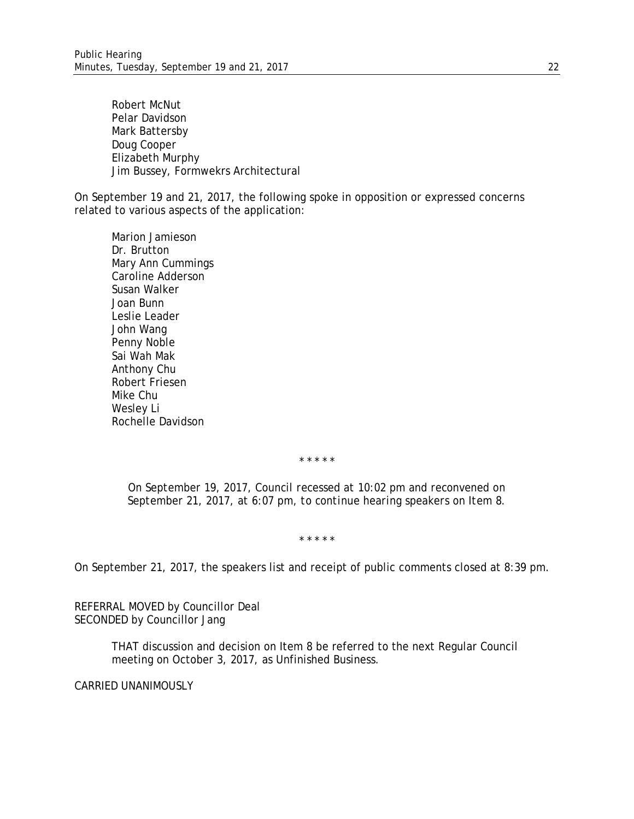Robert McNut Pelar Davidson Mark Battersby Doug Cooper Elizabeth Murphy Jim Bussey, Formwekrs Architectural

On September 19 and 21, 2017, the following spoke in opposition or expressed concerns related to various aspects of the application:

Marion Jamieson Dr. Brutton Mary Ann Cummings Caroline Adderson Susan Walker Joan Bunn Leslie Leader John Wang Penny Noble Sai Wah Mak Anthony Chu Robert Friesen Mike Chu Wesley Li Rochelle Davidson

*\* \* \* \* \**

*On September 19, 2017, Council recessed at 10:02 pm and reconvened on September 21, 2017, at 6:07 pm, to continue hearing speakers on Item 8.* 

*\* \* \* \* \**

On September 21, 2017, the speakers list and receipt of public comments closed at 8:39 pm.

REFERRAL MOVED by Councillor Deal SECONDED by Councillor Jang

> THAT discussion and decision on Item 8 be referred to the next Regular Council meeting on October 3, 2017, as Unfinished Business.

CARRIED UNANIMOUSLY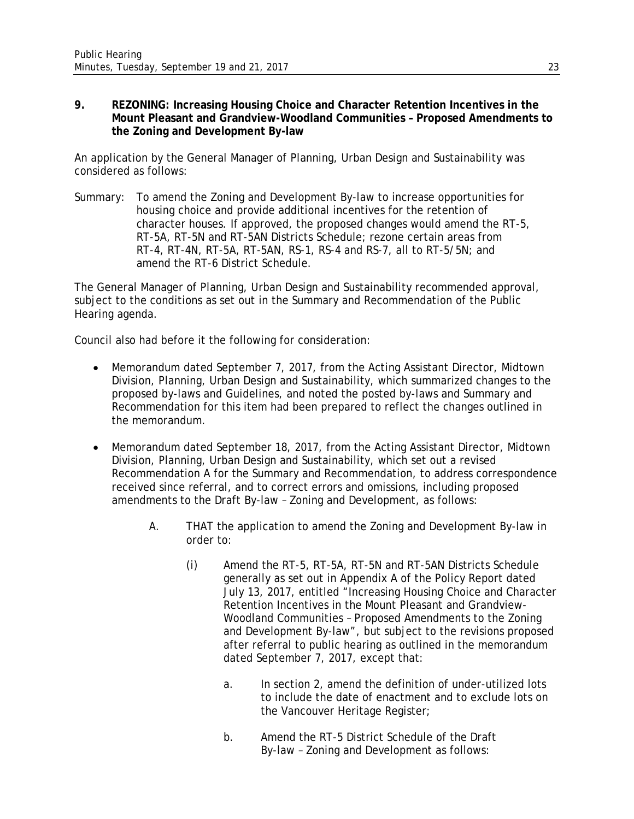## **9. REZONING: Increasing Housing Choice and Character Retention Incentives in the Mount Pleasant and Grandview-Woodland Communities – Proposed Amendments to the Zoning and Development By-law**

An application by the General Manager of Planning, Urban Design and Sustainability was considered as follows:

Summary: To amend the Zoning and Development By-law to increase opportunities for housing choice and provide additional incentives for the retention of character houses. If approved, the proposed changes would amend the RT-5, RT-5A, RT-5N and RT-5AN Districts Schedule; rezone certain areas from RT-4, RT-4N, RT-5A, RT-5AN, RS-1, RS-4 and RS-7, all to RT-5/5N; and amend the RT-6 District Schedule.

The General Manager of Planning, Urban Design and Sustainability recommended approval, subject to the conditions as set out in the Summary and Recommendation of the Public Hearing agenda.

Council also had before it the following for consideration:

- Memorandum dated September 7, 2017, from the Acting Assistant Director, Midtown Division, Planning, Urban Design and Sustainability, which summarized changes to the proposed by-laws and Guidelines, and noted the posted by-laws and Summary and Recommendation for this item had been prepared to reflect the changes outlined in the memorandum.
- Memorandum dated September 18, 2017, from the Acting Assistant Director, Midtown Division, Planning, Urban Design and Sustainability, which set out a revised Recommendation A for the Summary and Recommendation, to address correspondence received since referral, and to correct errors and omissions, including proposed amendments to the Draft By-law – Zoning and Development, as follows:
	- A. THAT the application to amend the Zoning and Development By-law in order to:
		- (i) Amend the RT-5, RT-5A, RT-5N and RT-5AN Districts Schedule generally as set out in Appendix A of the Policy Report dated July 13, 2017, entitled "Increasing Housing Choice and Character Retention Incentives in the Mount Pleasant and Grandview-Woodland Communities – Proposed Amendments to the Zoning and Development By-law", but subject to the revisions proposed after referral to public hearing as outlined in the memorandum dated September 7, 2017, except that:
			- a. In section 2, amend the definition of under-utilized lots to include the date of enactment and to exclude lots on the Vancouver Heritage Register;
			- b. Amend the RT-5 District Schedule of the Draft By-law – Zoning and Development as follows: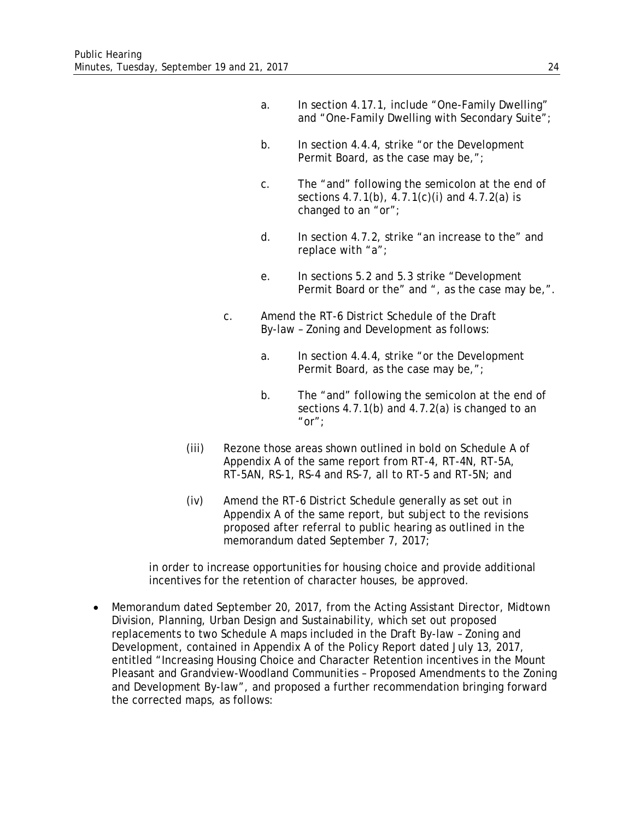- a. In section 4.17.1, include "One-Family Dwelling" and "One-Family Dwelling with Secondary Suite";
- b. In section 4.4.4, strike "or the Development Permit Board, as the case may be,";
- c. The "and" following the semicolon at the end of sections 4.7.1(b), 4.7.1(c)(i) and 4.7.2(a) is changed to an "or";
- d. In section 4.7.2, strike "an increase to the" and replace with "a";
- e. In sections 5.2 and 5.3 strike "Development Permit Board or the" and ", as the case may be,".
- c. Amend the RT-6 District Schedule of the Draft By-law – Zoning and Development as follows:
	- a. In section 4.4.4, strike "or the Development Permit Board, as the case may be,";
	- b. The "and" following the semicolon at the end of sections 4.7.1(b) and 4.7.2(a) is changed to an "or" $:$
- (iii) Rezone those areas shown outlined in bold on Schedule A of Appendix A of the same report from RT-4, RT-4N, RT-5A, RT-5AN, RS-1, RS-4 and RS-7, all to RT-5 and RT-5N; and
- (iv) Amend the RT-6 District Schedule generally as set out in Appendix A of the same report, but subject to the revisions proposed after referral to public hearing as outlined in the memorandum dated September 7, 2017;

in order to increase opportunities for housing choice and provide additional incentives for the retention of character houses, be approved.

• Memorandum dated September 20, 2017, from the Acting Assistant Director, Midtown Division, Planning, Urban Design and Sustainability, which set out proposed replacements to two Schedule A maps included in the Draft By-law – Zoning and Development, contained in Appendix A of the Policy Report dated July 13, 2017, entitled "Increasing Housing Choice and Character Retention incentives in the Mount Pleasant and Grandview-Woodland Communities – Proposed Amendments to the Zoning and Development By-law", and proposed a further recommendation bringing forward the corrected maps, as follows: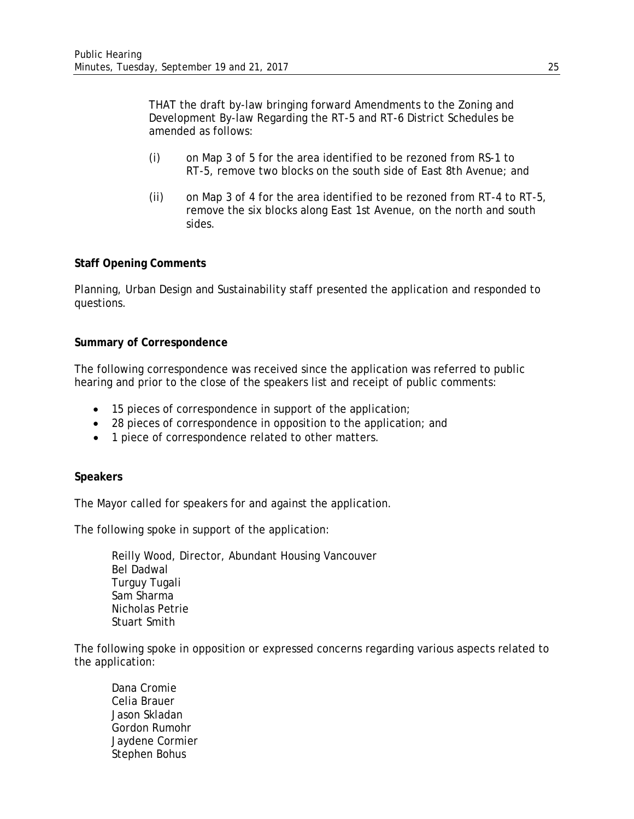THAT the draft by-law bringing forward Amendments to the Zoning and Development By-law Regarding the RT-5 and RT-6 District Schedules be amended as follows:

- (i) on Map 3 of 5 for the area identified to be rezoned from RS-1 to RT-5, remove two blocks on the south side of East 8th Avenue; and
- (ii) on Map 3 of 4 for the area identified to be rezoned from RT-4 to RT-5, remove the six blocks along East 1st Avenue, on the north and south sides.

## **Staff Opening Comments**

Planning, Urban Design and Sustainability staff presented the application and responded to questions.

#### **Summary of Correspondence**

The following correspondence was received since the application was referred to public hearing and prior to the close of the speakers list and receipt of public comments:

- 15 pieces of correspondence in support of the application;
- 28 pieces of correspondence in opposition to the application; and
- 1 piece of correspondence related to other matters.

#### **Speakers**

The Mayor called for speakers for and against the application.

The following spoke in support of the application:

Reilly Wood, Director, Abundant Housing Vancouver Bel Dadwal Turguy Tugali Sam Sharma Nicholas Petrie Stuart Smith

The following spoke in opposition or expressed concerns regarding various aspects related to the application:

Dana Cromie Celia Brauer Jason Skladan Gordon Rumohr Jaydene Cormier Stephen Bohus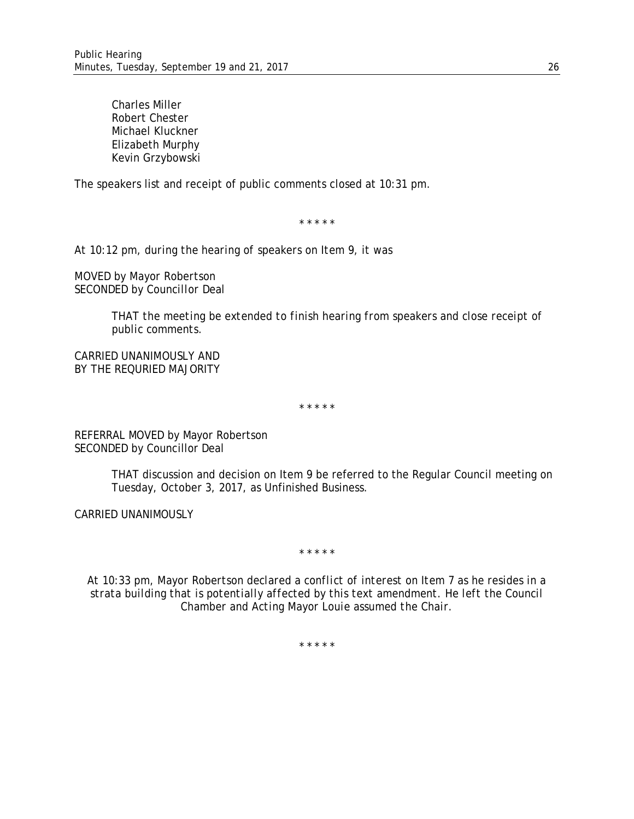Charles Miller Robert Chester Michael Kluckner Elizabeth Murphy Kevin Grzybowski

The speakers list and receipt of public comments closed at 10:31 pm.

\* \* \* \* \*

*At 10:12 pm, during the hearing of speakers on Item 9, it was* 

*MOVED by Mayor Robertson SECONDED by Councillor Deal*

> *THAT the meeting be extended to finish hearing from speakers and close receipt of public comments.*

*CARRIED UNANIMOUSLY AND BY THE REQURIED MAJORITY*

\* \* \* \* \*

REFERRAL MOVED by Mayor Robertson SECONDED by Councillor Deal

> THAT discussion and decision on Item 9 be referred to the Regular Council meeting on Tuesday, October 3, 2017, as Unfinished Business.

CARRIED UNANIMOUSLY

\* \* \* \* \*

*At 10:33 pm, Mayor Robertson declared a conflict of interest on Item 7 as he resides in a strata building that is potentially affected by this text amendment. He left the Council Chamber and Acting Mayor Louie assumed the Chair.*

\* \* \* \* \*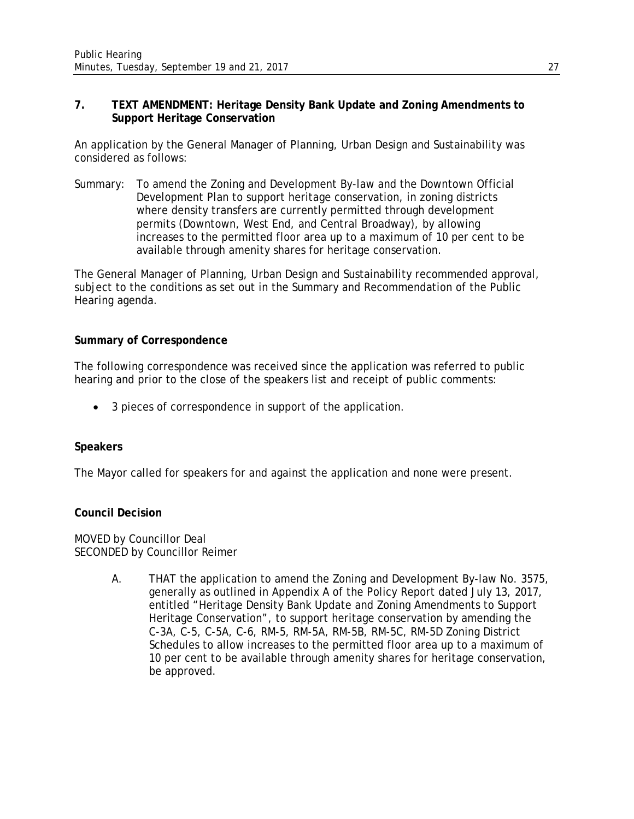## **7. TEXT AMENDMENT: Heritage Density Bank Update and Zoning Amendments to Support Heritage Conservation**

An application by the General Manager of Planning, Urban Design and Sustainability was considered as follows:

Summary: To amend the Zoning and Development By-law and the Downtown Official Development Plan to support heritage conservation, in zoning districts where density transfers are currently permitted through development permits (Downtown, West End, and Central Broadway), by allowing increases to the permitted floor area up to a maximum of 10 per cent to be available through amenity shares for heritage conservation.

The General Manager of Planning, Urban Design and Sustainability recommended approval, subject to the conditions as set out in the Summary and Recommendation of the Public Hearing agenda.

## **Summary of Correspondence**

The following correspondence was received since the application was referred to public hearing and prior to the close of the speakers list and receipt of public comments:

• 3 pieces of correspondence in support of the application.

#### **Speakers**

The Mayor called for speakers for and against the application and none were present.

#### **Council Decision**

MOVED by Councillor Deal SECONDED by Councillor Reimer

> A. THAT the application to amend the Zoning and Development By-law No. 3575, generally as outlined in Appendix A of the Policy Report dated July 13, 2017, entitled "Heritage Density Bank Update and Zoning Amendments to Support Heritage Conservation", to support heritage conservation by amending the C-3A, C-5, C-5A, C-6, RM-5, RM-5A, RM-5B, RM-5C, RM-5D Zoning District Schedules to allow increases to the permitted floor area up to a maximum of 10 per cent to be available through amenity shares for heritage conservation, be approved.